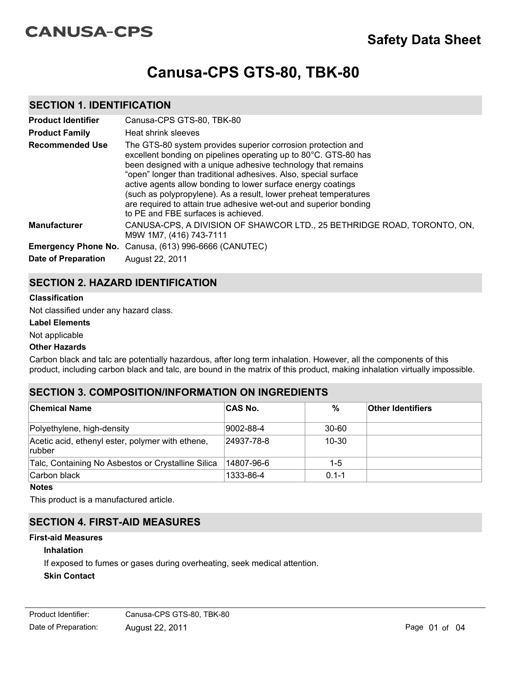# **CANUSA-CPS**

# **Canusa-CPS GTS-80, TBK-80**

## **SECTION 1. IDENTIFICATION**

| <b>Product Identifier</b><br><b>Product Family</b> | Canusa-CPS GTS-80, TBK-80<br>Heat shrink sleeves                                                                                                                                                                                                                                                                                                                                                                                                                                                                   |
|----------------------------------------------------|--------------------------------------------------------------------------------------------------------------------------------------------------------------------------------------------------------------------------------------------------------------------------------------------------------------------------------------------------------------------------------------------------------------------------------------------------------------------------------------------------------------------|
| <b>Recommended Use</b>                             | The GTS-80 system provides superior corrosion protection and<br>excellent bonding on pipelines operating up to 80°C. GTS-80 has<br>been designed with a unique adhesive technology that remains<br>"open" longer than traditional adhesives. Also, special surface<br>active agents allow bonding to lower surface energy coatings<br>(such as polypropylene). As a result, lower preheat temperatures<br>are required to attain true adhesive wet-out and superior bonding<br>to PE and FBE surfaces is achieved. |
| <b>Manufacturer</b>                                | CANUSA-CPS, A DIVISION OF SHAWCOR LTD., 25 BETHRIDGE ROAD, TORONTO, ON,<br>M9W 1M7, (416) 743-7111                                                                                                                                                                                                                                                                                                                                                                                                                 |
| <b>Date of Preparation</b>                         | Emergency Phone No. Canusa, (613) 996-6666 (CANUTEC)<br>August 22, 2011                                                                                                                                                                                                                                                                                                                                                                                                                                            |

# **SECTION 2. HAZARD IDENTIFICATION**

#### **Classification**

Not classified under any hazard class.

**Label Elements**

#### Not applicable

#### **Other Hazards**

Carbon black and talc are potentially hazardous, after long term inhalation. However, all the components of this product, including carbon black and talc, are bound in the matrix of this product, making inhalation virtually impossible.

# **SECTION 3. COMPOSITION/INFORMATION ON INGREDIENTS**

| <b>Chemical Name</b>                                        | <b>CAS No.</b> | $\%$      | <b>Other Identifiers</b> |
|-------------------------------------------------------------|----------------|-----------|--------------------------|
| Polyethylene, high-density                                  | 9002-88-4      | $30 - 60$ |                          |
| Acetic acid, ethenyl ester, polymer with ethene,<br> rubber | 24937-78-8     | $10 - 30$ |                          |
| Talc, Containing No Asbestos or Crystalline Silica          | 14807-96-6     | $1 - 5$   |                          |
| Carbon black                                                | 1333-86-4      | $0.1 - 1$ |                          |

**Notes**

This product is a manufactured article.

# **SECTION 4. FIRST-AID MEASURES**

#### **First-aid Measures**

#### **Inhalation**

If exposed to fumes or gases during overheating, seek medical attention.

## **Skin Contact**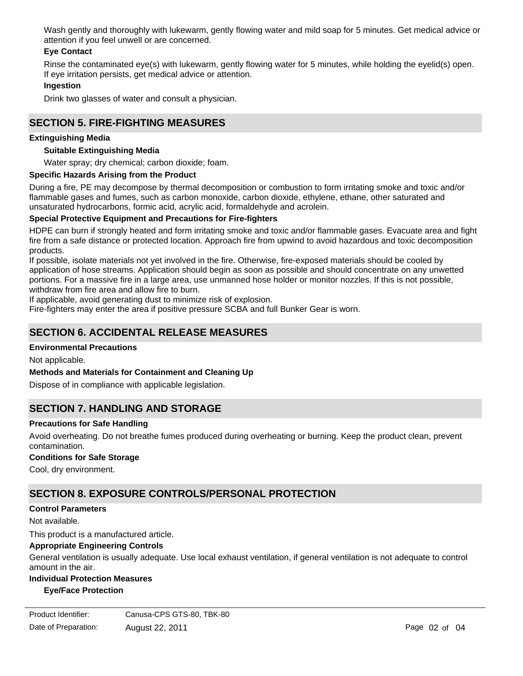Wash gently and thoroughly with lukewarm, gently flowing water and mild soap for 5 minutes. Get medical advice or attention if you feel unwell or are concerned.

## **Eye Contact**

Rinse the contaminated eye(s) with lukewarm, gently flowing water for 5 minutes, while holding the eyelid(s) open. If eye irritation persists, get medical advice or attention.

#### **Ingestion**

Drink two glasses of water and consult a physician.

## **SECTION 5. FIRE-FIGHTING MEASURES**

#### **Extinguishing Media**

#### **Suitable Extinguishing Media**

Water spray; dry chemical; carbon dioxide; foam.

#### **Specific Hazards Arising from the Product**

During a fire, PE may decompose by thermal decomposition or combustion to form irritating smoke and toxic and/or flammable gases and fumes, such as carbon monoxide, carbon dioxide, ethylene, ethane, other saturated and unsaturated hydrocarbons, formic acid, acrylic acid, formaldehyde and acrolein.

#### **Special Protective Equipment and Precautions for Fire-fighters**

HDPE can burn if strongly heated and form irritating smoke and toxic and/or flammable gases. Evacuate area and fight fire from a safe distance or protected location. Approach fire from upwind to avoid hazardous and toxic decomposition products.

If possible, isolate materials not yet involved in the fire. Otherwise, fire-exposed materials should be cooled by application of hose streams. Application should begin as soon as possible and should concentrate on any unwetted portions. For a massive fire in a large area, use unmanned hose holder or monitor nozzles. If this is not possible, withdraw from fire area and allow fire to burn.

If applicable, avoid generating dust to minimize risk of explosion.

Fire-fighters may enter the area if positive pressure SCBA and full Bunker Gear is worn.

# **SECTION 6. ACCIDENTAL RELEASE MEASURES**

#### **Environmental Precautions**

Not applicable.

#### **Methods and Materials for Containment and Cleaning Up**

Dispose of in compliance with applicable legislation.

## **SECTION 7. HANDLING AND STORAGE**

#### **Precautions for Safe Handling**

Avoid overheating. Do not breathe fumes produced during overheating or burning. Keep the product clean, prevent contamination.

#### **Conditions for Safe Storage**

Cool, dry environment.

# **SECTION 8. EXPOSURE CONTROLS/PERSONAL PROTECTION**

#### **Control Parameters**

Not available.

This product is a manufactured article.

#### **Appropriate Engineering Controls**

General ventilation is usually adequate. Use local exhaust ventilation, if general ventilation is not adequate to control amount in the air.

## **Individual Protection Measures**

## **Eye/Face Protection**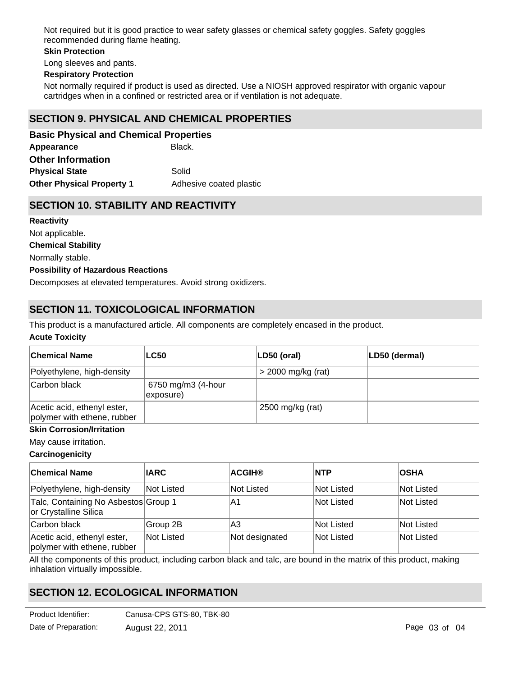Not required but it is good practice to wear safety glasses or chemical safety goggles. Safety goggles recommended during flame heating.

#### **Skin Protection**

Long sleeves and pants.

#### **Respiratory Protection**

Not normally required if product is used as directed. Use a NIOSH approved respirator with organic vapour cartridges when in a confined or restricted area or if ventilation is not adequate.

## **SECTION 9. PHYSICAL AND CHEMICAL PROPERTIES**

Appearance **Black. Other Physical Property 1** Adhesive coated plastic **Basic Physical and Chemical Properties Physical State** Solid **Other Information**

## **SECTION 10. STABILITY AND REACTIVITY**

**Chemical Stability** Normally stable. **Possibility of Hazardous Reactions** Decomposes at elevated temperatures. Avoid strong oxidizers. **Reactivity** Not applicable.

# **SECTION 11. TOXICOLOGICAL INFORMATION**

This product is a manufactured article. All components are completely encased in the product.

#### **Acute Toxicity**

| <b>Chemical Name</b>                                       | <b>LC50</b>                     | LD50 (oral)          | LD50 (dermal) |
|------------------------------------------------------------|---------------------------------|----------------------|---------------|
| Polyethylene, high-density                                 |                                 | $>$ 2000 mg/kg (rat) |               |
| Carbon black                                               | 6750 mg/m3 (4-hour<br>exposure) |                      |               |
| Acetic acid, ethenyl ester,<br>polymer with ethene, rubber |                                 | 2500 mg/kg (rat)     |               |

## **Skin Corrosion/Irritation**

May cause irritation.

#### **Carcinogenicity**

| <b>Chemical Name</b>                                          | <b>IARC</b> | <b>ACGIH®</b>  | <b>INTP</b> | <b>OSHA</b> |
|---------------------------------------------------------------|-------------|----------------|-------------|-------------|
| Polyethylene, high-density                                    | Not Listed  | Not Listed     | Not Listed  | Not Listed  |
| Talc, Containing No Asbestos Group 1<br>or Crystalline Silica |             | ΙA1            | Not Listed  | Not Listed  |
| Carbon black                                                  | Group 2B    | lА3            | Not Listed  | Not Listed  |
| Acetic acid, ethenyl ester,<br>polymer with ethene, rubber    | Not Listed  | Not designated | Not Listed  | Not Listed  |

All the components of this product, including carbon black and talc, are bound in the matrix of this product, making inhalation virtually impossible.

# **SECTION 12. ECOLOGICAL INFORMATION**